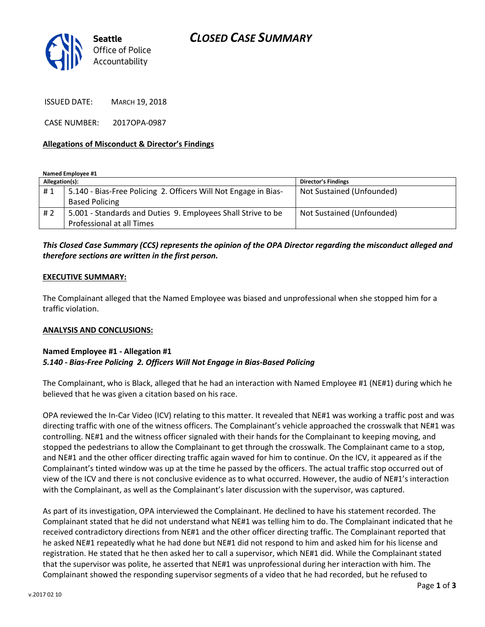# *CLOSED CASE SUMMARY*



ISSUED DATE: MARCH 19, 2018

CASE NUMBER: 2017OPA-0987

### **Allegations of Misconduct & Director's Findings**

**Named Employee #1**

| Allegation(s): |                                                                 | <b>Director's Findings</b> |
|----------------|-----------------------------------------------------------------|----------------------------|
| #1             | 5.140 - Bias-Free Policing 2. Officers Will Not Engage in Bias- | Not Sustained (Unfounded)  |
|                | <b>Based Policing</b>                                           |                            |
| #2             | 5.001 - Standards and Duties 9. Employees Shall Strive to be    | Not Sustained (Unfounded)  |
|                | Professional at all Times                                       |                            |

### *This Closed Case Summary (CCS) represents the opinion of the OPA Director regarding the misconduct alleged and therefore sections are written in the first person.*

### **EXECUTIVE SUMMARY:**

The Complainant alleged that the Named Employee was biased and unprofessional when she stopped him for a traffic violation.

### **ANALYSIS AND CONCLUSIONS:**

#### **Named Employee #1 - Allegation #1** *5.140 - Bias-Free Policing 2. Officers Will Not Engage in Bias-Based Policing*

The Complainant, who is Black, alleged that he had an interaction with Named Employee #1 (NE#1) during which he believed that he was given a citation based on his race.

OPA reviewed the In-Car Video (ICV) relating to this matter. It revealed that NE#1 was working a traffic post and was directing traffic with one of the witness officers. The Complainant's vehicle approached the crosswalk that NE#1 was controlling. NE#1 and the witness officer signaled with their hands for the Complainant to keeping moving, and stopped the pedestrians to allow the Complainant to get through the crosswalk. The Complainant came to a stop, and NE#1 and the other officer directing traffic again waved for him to continue. On the ICV, it appeared as if the Complainant's tinted window was up at the time he passed by the officers. The actual traffic stop occurred out of view of the ICV and there is not conclusive evidence as to what occurred. However, the audio of NE#1's interaction with the Complainant, as well as the Complainant's later discussion with the supervisor, was captured.

As part of its investigation, OPA interviewed the Complainant. He declined to have his statement recorded. The Complainant stated that he did not understand what NE#1 was telling him to do. The Complainant indicated that he received contradictory directions from NE#1 and the other officer directing traffic. The Complainant reported that he asked NE#1 repeatedly what he had done but NE#1 did not respond to him and asked him for his license and registration. He stated that he then asked her to call a supervisor, which NE#1 did. While the Complainant stated that the supervisor was polite, he asserted that NE#1 was unprofessional during her interaction with him. The Complainant showed the responding supervisor segments of a video that he had recorded, but he refused to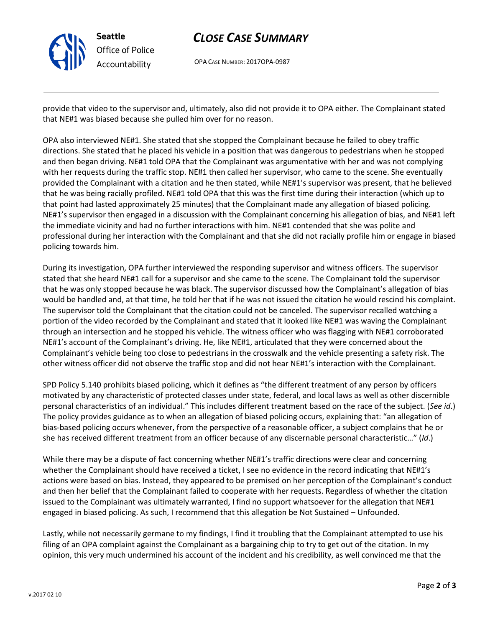

# *CLOSE CASE SUMMARY*

OPA CASE NUMBER: 2017OPA-0987

provide that video to the supervisor and, ultimately, also did not provide it to OPA either. The Complainant stated that NE#1 was biased because she pulled him over for no reason.

OPA also interviewed NE#1. She stated that she stopped the Complainant because he failed to obey traffic directions. She stated that he placed his vehicle in a position that was dangerous to pedestrians when he stopped and then began driving. NE#1 told OPA that the Complainant was argumentative with her and was not complying with her requests during the traffic stop. NE#1 then called her supervisor, who came to the scene. She eventually provided the Complainant with a citation and he then stated, while NE#1's supervisor was present, that he believed that he was being racially profiled. NE#1 told OPA that this was the first time during their interaction (which up to that point had lasted approximately 25 minutes) that the Complainant made any allegation of biased policing. NE#1's supervisor then engaged in a discussion with the Complainant concerning his allegation of bias, and NE#1 left the immediate vicinity and had no further interactions with him. NE#1 contended that she was polite and professional during her interaction with the Complainant and that she did not racially profile him or engage in biased policing towards him.

During its investigation, OPA further interviewed the responding supervisor and witness officers. The supervisor stated that she heard NE#1 call for a supervisor and she came to the scene. The Complainant told the supervisor that he was only stopped because he was black. The supervisor discussed how the Complainant's allegation of bias would be handled and, at that time, he told her that if he was not issued the citation he would rescind his complaint. The supervisor told the Complainant that the citation could not be canceled. The supervisor recalled watching a portion of the video recorded by the Complainant and stated that it looked like NE#1 was waving the Complainant through an intersection and he stopped his vehicle. The witness officer who was flagging with NE#1 corroborated NE#1's account of the Complainant's driving. He, like NE#1, articulated that they were concerned about the Complainant's vehicle being too close to pedestrians in the crosswalk and the vehicle presenting a safety risk. The other witness officer did not observe the traffic stop and did not hear NE#1's interaction with the Complainant.

SPD Policy 5.140 prohibits biased policing, which it defines as "the different treatment of any person by officers motivated by any characteristic of protected classes under state, federal, and local laws as well as other discernible personal characteristics of an individual." This includes different treatment based on the race of the subject. (*See id*.) The policy provides guidance as to when an allegation of biased policing occurs, explaining that: "an allegation of bias-based policing occurs whenever, from the perspective of a reasonable officer, a subject complains that he or she has received different treatment from an officer because of any discernable personal characteristic…" (*Id*.)

While there may be a dispute of fact concerning whether NE#1's traffic directions were clear and concerning whether the Complainant should have received a ticket, I see no evidence in the record indicating that NE#1's actions were based on bias. Instead, they appeared to be premised on her perception of the Complainant's conduct and then her belief that the Complainant failed to cooperate with her requests. Regardless of whether the citation issued to the Complainant was ultimately warranted, I find no support whatsoever for the allegation that NE#1 engaged in biased policing. As such, I recommend that this allegation be Not Sustained – Unfounded.

Lastly, while not necessarily germane to my findings, I find it troubling that the Complainant attempted to use his filing of an OPA complaint against the Complainant as a bargaining chip to try to get out of the citation. In my opinion, this very much undermined his account of the incident and his credibility, as well convinced me that the